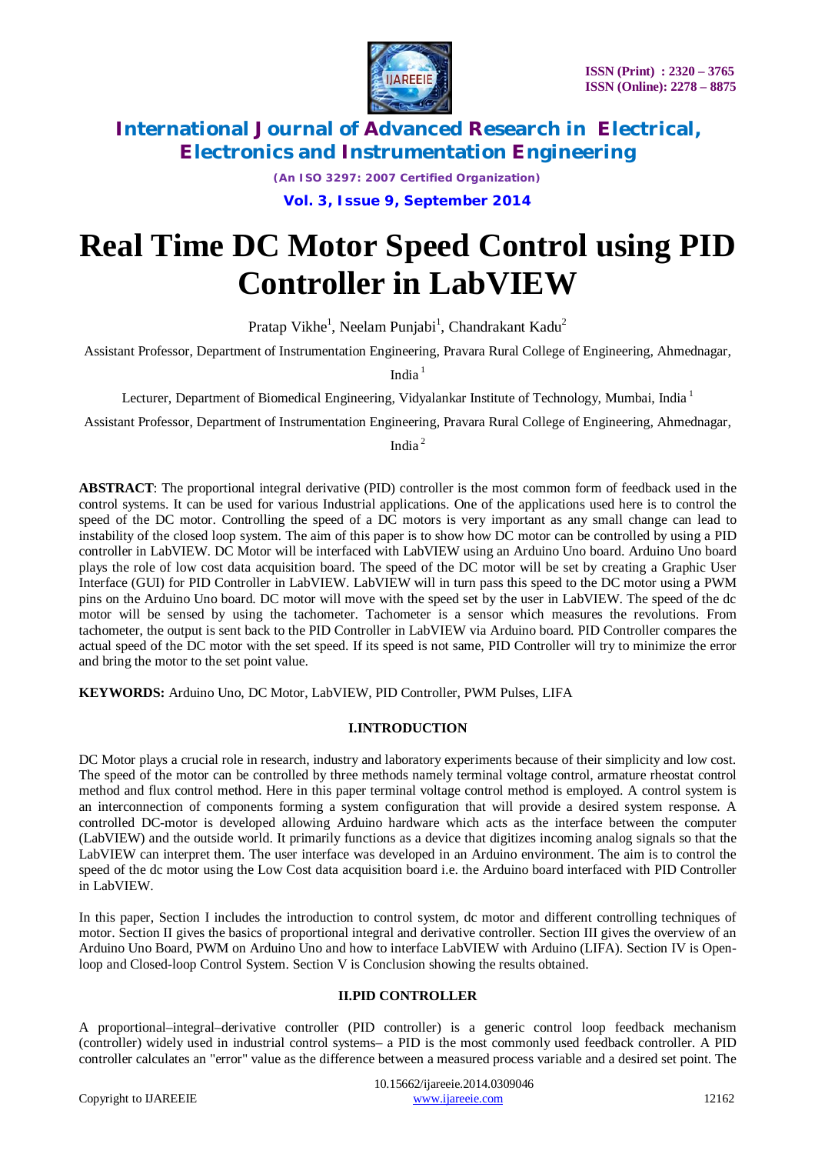

*(An ISO 3297: 2007 Certified Organization)* **Vol. 3, Issue 9, September 2014**

# **Real Time DC Motor Speed Control using PID Controller in LabVIEW**

Pratap Vikhe<sup>1</sup>, Neelam Punjabi<sup>1</sup>, Chandrakant Kadu<sup>2</sup>

Assistant Professor, Department of Instrumentation Engineering, Pravara Rural College of Engineering, Ahmednagar,

India $1$ 

Lecturer, Department of Biomedical Engineering, Vidyalankar Institute of Technology, Mumbai, India<sup>1</sup>

Assistant Professor, Department of Instrumentation Engineering, Pravara Rural College of Engineering, Ahmednagar,

India <sup>2</sup>

**ABSTRACT**: The proportional integral derivative (PID) controller is the most common form of feedback used in the control systems. It can be used for various Industrial applications. One of the applications used here is to control the speed of the DC motor. Controlling the speed of a DC motors is very important as any small change can lead to instability of the closed loop system. The aim of this paper is to show how DC motor can be controlled by using a PID controller in LabVIEW. DC Motor will be interfaced with LabVIEW using an Arduino Uno board. Arduino Uno board plays the role of low cost data acquisition board. The speed of the DC motor will be set by creating a Graphic User Interface (GUI) for PID Controller in LabVIEW. LabVIEW will in turn pass this speed to the DC motor using a PWM pins on the Arduino Uno board. DC motor will move with the speed set by the user in LabVIEW. The speed of the dc motor will be sensed by using the tachometer. Tachometer is a sensor which measures the revolutions. From tachometer, the output is sent back to the PID Controller in LabVIEW via Arduino board. PID Controller compares the actual speed of the DC motor with the set speed. If its speed is not same, PID Controller will try to minimize the error and bring the motor to the set point value.

**KEYWORDS:** Arduino Uno, DC Motor, LabVIEW, PID Controller, PWM Pulses, LIFA

#### **I.INTRODUCTION**

DC Motor plays a crucial role in research, industry and laboratory experiments because of their simplicity and low cost. The speed of the motor can be controlled by three methods namely terminal voltage control, armature rheostat control method and flux control method. Here in this paper terminal voltage control method is employed. A control system is an interconnection of components forming a system configuration that will provide a desired system response. A controlled DC-motor is developed allowing Arduino hardware which acts as the interface between the computer (LabVIEW) and the outside world. It primarily functions as a device that digitizes incoming analog signals so that the LabVIEW can interpret them. The user interface was developed in an Arduino environment. The aim is to control the speed of the dc motor using the Low Cost data acquisition board i.e. the Arduino board interfaced with PID Controller in LabVIEW.

In this paper, Section I includes the introduction to control system, dc motor and different controlling techniques of motor. Section II gives the basics of proportional integral and derivative controller. Section III gives the overview of an Arduino Uno Board, PWM on Arduino Uno and how to interface LabVIEW with Arduino (LIFA). Section IV is Openloop and Closed-loop Control System. Section V is Conclusion showing the results obtained.

#### **II.PID CONTROLLER**

A proportional–integral–derivative controller (PID controller) is a generic control loop feedback mechanism (controller) widely used in industrial control systems– a PID is the most commonly used feedback controller. A PID controller calculates an "error" value as the difference between a measured process variable and a desired set point. The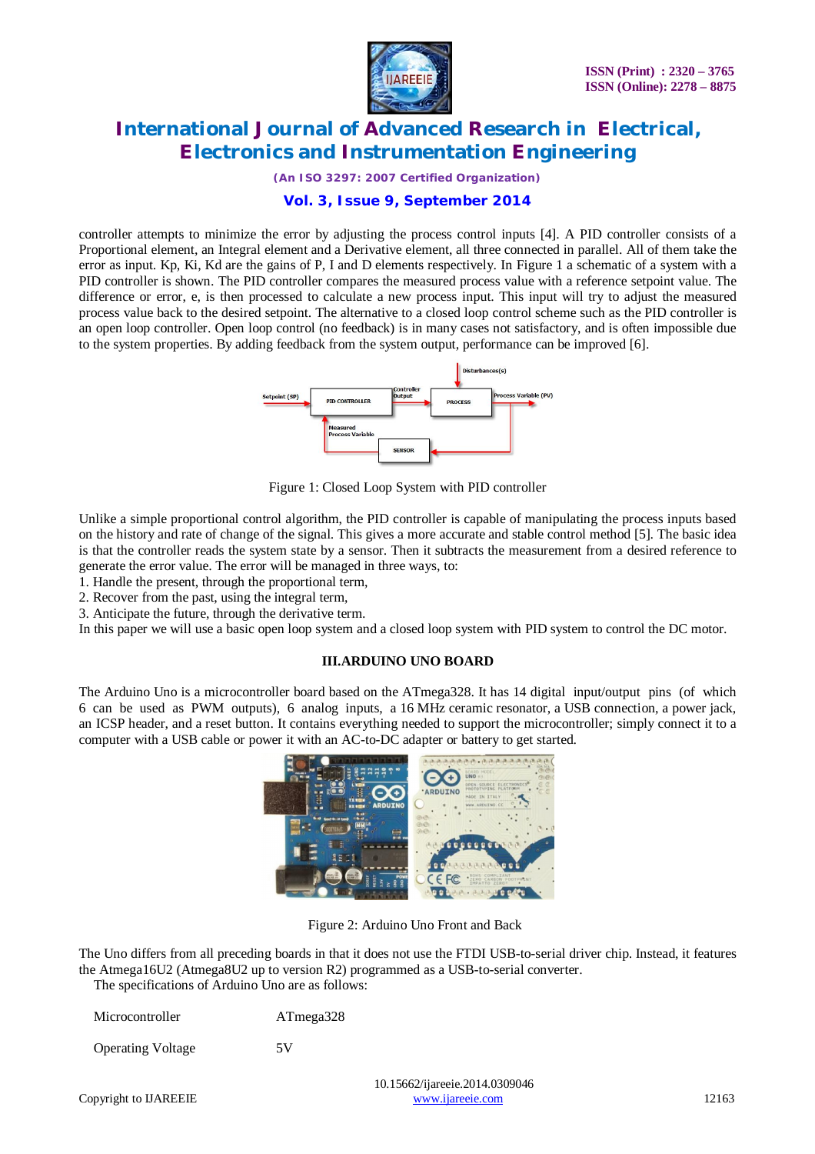

*(An ISO 3297: 2007 Certified Organization)*

### **Vol. 3, Issue 9, September 2014**

controller attempts to minimize the error by adjusting the process control inputs [4]. A PID controller consists of a Proportional element, an Integral element and a Derivative element, all three connected in parallel. All of them take the error as input. Kp, Ki, Kd are the gains of P, I and D elements respectively. In Figure 1 a schematic of a system with a PID controller is shown. The PID controller compares the measured process value with a reference setpoint value. The difference or error, e, is then processed to calculate a new process input. This input will try to adjust the measured process value back to the desired setpoint. The alternative to a closed loop control scheme such as the PID controller is an open loop controller. Open loop control (no feedback) is in many cases not satisfactory, and is often impossible due to the system properties. By adding feedback from the system output, performance can be improved [6].



Figure 1: Closed Loop System with PID controller

Unlike a simple proportional control algorithm, the PID controller is capable of manipulating the process inputs based on the history and rate of change of the signal. This gives a more accurate and stable control method [5]. The basic idea is that the controller reads the system state by a sensor. Then it subtracts the measurement from a desired reference to generate the error value. The error will be managed in three ways, to:

1. Handle the present, through the proportional term,

2. Recover from the past, using the integral term,

3. Anticipate the future, through the derivative term.

In this paper we will use a basic open loop system and a closed loop system with PID system to control the DC motor.

#### **III.ARDUINO UNO BOARD**

The Arduino Uno is a microcontroller board based on the ATmega328. It has 14 digital input/output pins (of which 6 can be used as PWM outputs), 6 analog inputs, a 16 MHz ceramic resonator, a USB connection, a power jack, an ICSP header, and a reset button. It contains everything needed to support the microcontroller; simply connect it to a computer with a USB cable or power it with an AC-to-DC adapter or battery to get started.



Figure 2: Arduino Uno Front and Back

The Uno differs from all preceding boards in that it does not use the FTDI USB-to-serial driver chip. Instead, it features the Atmega16U2 (Atmega8U2 up to version R2) programmed as a USB-to-serial converter.

The specifications of Arduino Uno are as follows:

| Microcontroller          | ATmega328             |
|--------------------------|-----------------------|
| <b>Operating Voltage</b> | 5V                    |
|                          | 10.15662/ijareeje.201 |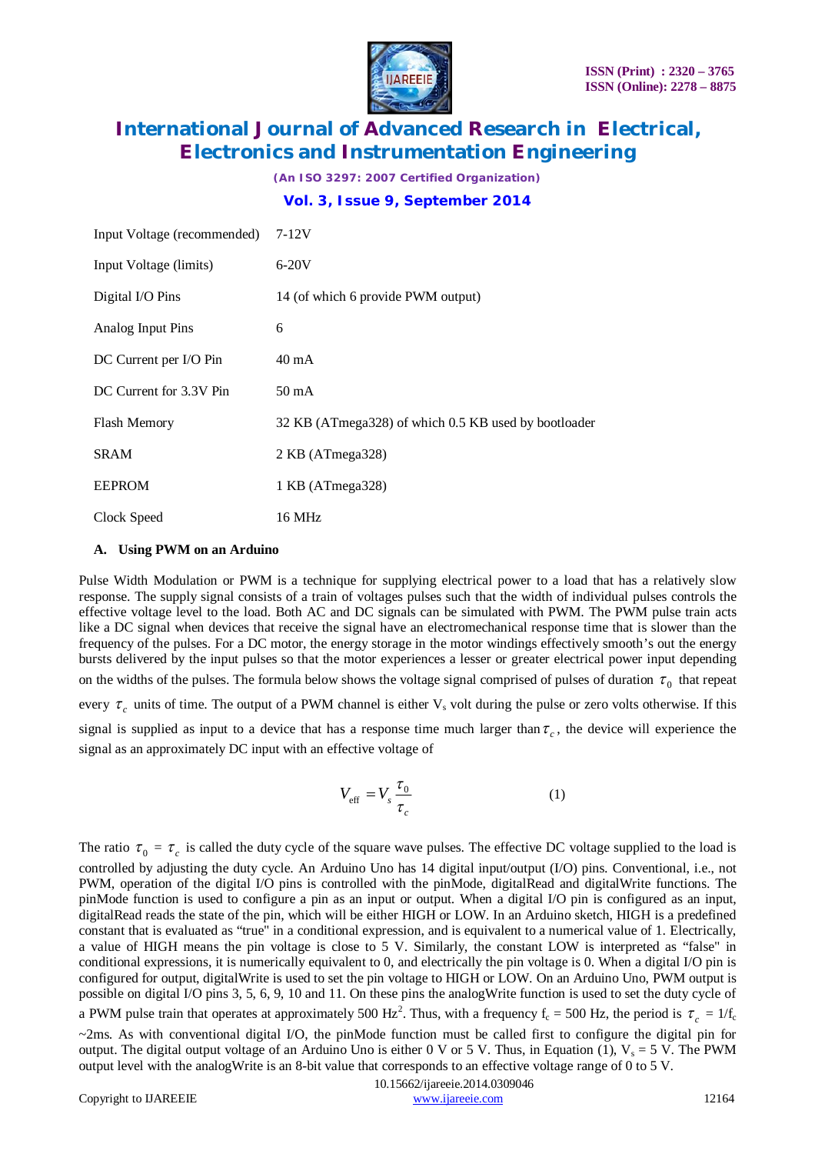

*(An ISO 3297: 2007 Certified Organization)* **Vol. 3, Issue 9, September 2014**

| Input Voltage (recommended) | $7-12V$                                              |
|-----------------------------|------------------------------------------------------|
| Input Voltage (limits)      | $6-20V$                                              |
| Digital I/O Pins            | 14 (of which 6 provide PWM output)                   |
| Analog Input Pins           | 6                                                    |
| DC Current per I/O Pin      | $40 \text{ mA}$                                      |
| DC Current for 3.3V Pin     | $50 \text{ mA}$                                      |
| <b>Flash Memory</b>         | 32 KB (ATmega328) of which 0.5 KB used by bootloader |
| <b>SRAM</b>                 | 2 KB (ATmega328)                                     |
| <b>EEPROM</b>               | 1 KB (ATmega328)                                     |
| Clock Speed                 | 16 MHz                                               |

#### **A. Using PWM on an Arduino**

Pulse Width Modulation or PWM is a technique for supplying electrical power to a load that has a relatively slow response. The supply signal consists of a train of voltages pulses such that the width of individual pulses controls the effective voltage level to the load. Both AC and DC signals can be simulated with PWM. The PWM pulse train acts like a DC signal when devices that receive the signal have an electromechanical response time that is slower than the frequency of the pulses. For a DC motor, the energy storage in the motor windings effectively smooth's out the energy bursts delivered by the input pulses so that the motor experiences a lesser or greater electrical power input depending on the widths of the pulses. The formula below shows the voltage signal comprised of pulses of duration  $\tau_0$  that repeat every  $\tau_c$  units of time. The output of a PWM channel is either  $V_s$  volt during the pulse or zero volts otherwise. If this signal is supplied as input to a device that has a response time much larger than  $\tau_c$ , the device will experience the signal as an approximately DC input with an effective voltage of

$$
V_{\rm eff} = V_s \frac{\tau_0}{\tau_c} \tag{1}
$$

The ratio  $\tau_0 = \tau_c$  is called the duty cycle of the square wave pulses. The effective DC voltage supplied to the load is controlled by adjusting the duty cycle. An Arduino Uno has 14 digital input/output (I/O) pins. Conventional, i.e., not PWM, operation of the digital I/O pins is controlled with the pinMode, digitalRead and digitalWrite functions. The pinMode function is used to configure a pin as an input or output. When a digital I/O pin is configured as an input, digitalRead reads the state of the pin, which will be either HIGH or LOW. In an Arduino sketch, HIGH is a predefined constant that is evaluated as "true" in a conditional expression, and is equivalent to a numerical value of 1. Electrically, a value of HIGH means the pin voltage is close to 5 V. Similarly, the constant LOW is interpreted as "false" in conditional expressions, it is numerically equivalent to 0, and electrically the pin voltage is 0. When a digital I/O pin is configured for output, digitalWrite is used to set the pin voltage to HIGH or LOW. On an Arduino Uno, PWM output is possible on digital I/O pins 3, 5, 6, 9, 10 and 11. On these pins the analogWrite function is used to set the duty cycle of a PWM pulse train that operates at approximately 500 Hz<sup>2</sup>. Thus, with a frequency  $f_c = 500$  Hz, the period is  $\tau_c = 1/f_c$  $\sim$ 2ms. As with conventional digital I/O, the pinMode function must be called first to configure the digital pin for output. The digital output voltage of an Arduino Uno is either 0 V or 5 V. Thus, in Equation (1),  $V_s = 5$  V. The PWM output level with the analogWrite is an 8-bit value that corresponds to an effective voltage range of 0 to 5 V.

 10.15662/ijareeie.2014.0309046 Copyright to IJAREEIE www.ijareeie.com 12164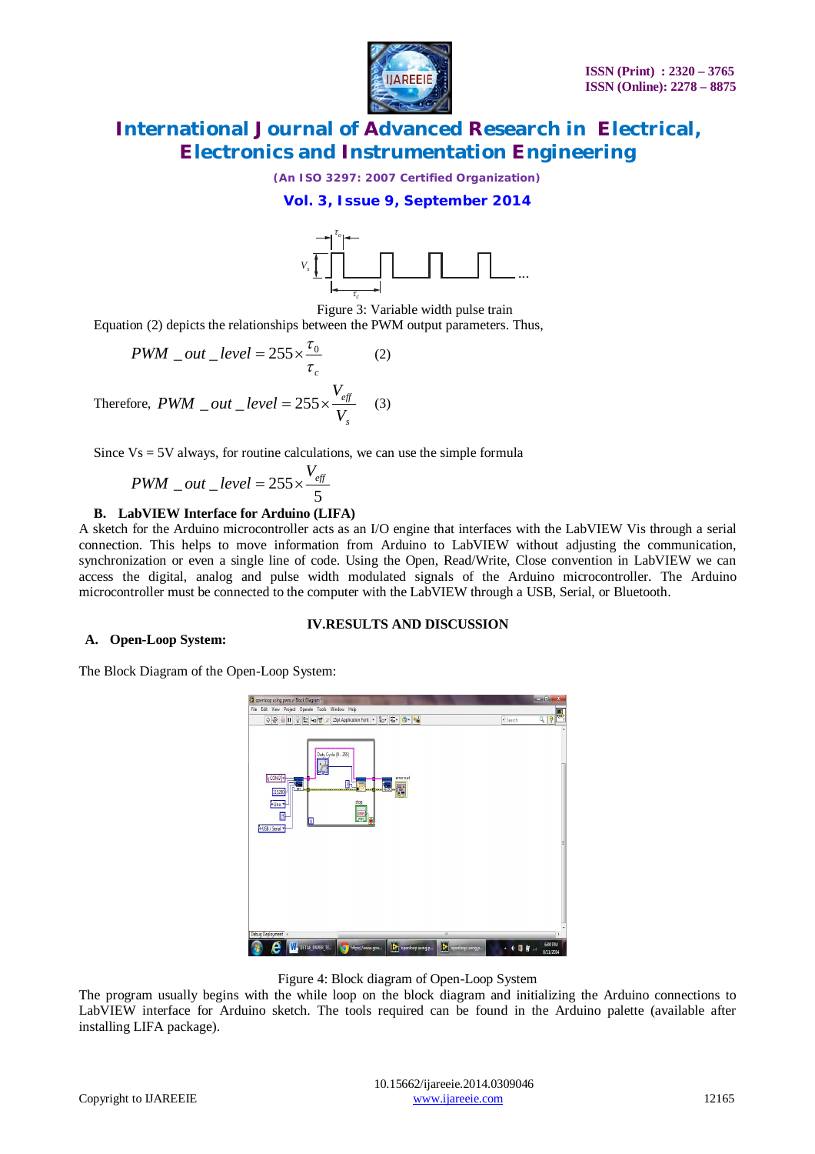

*(An ISO 3297: 2007 Certified Organization)*

#### **Vol. 3, Issue 9, September 2014**



Equation (2) depicts the relationships between the PWM output parameters. Thus,

$$
PWM\_out\_level = 255 \times \frac{\tau_0}{\tau_c}
$$
 (2)  
Therefore,  $PWM\_out\_level = 255 \times \frac{V_{eff}}{V_s}$  (3)

Since  $Vs = 5V$  always, for routine calculations, we can use the simple formula

$$
PWM\_out\_level = 255 \times \frac{V_{\text{eff}}}{5}
$$

#### **B. LabVIEW Interface for Arduino (LIFA)**

A sketch for the Arduino microcontroller acts as an I/O engine that interfaces with the LabVIEW Vis through a serial connection. This helps to move information from Arduino to LabVIEW without adjusting the communication, synchronization or even a single line of code. Using the Open, Read/Write, Close convention in LabVIEW we can access the digital, analog and pulse width modulated signals of the Arduino microcontroller. The Arduino microcontroller must be connected to the computer with the LabVIEW through a USB, Serial, or Bluetooth.

#### **IV.RESULTS AND DISCUSSION**

#### **A. Open-Loop System:**

The Block Diagram of the Open-Loop System:



Figure 4: Block diagram of Open-Loop System

The program usually begins with the while loop on the block diagram and initializing the Arduino connections to LabVIEW interface for Arduino sketch. The tools required can be found in the Arduino palette (available after installing LIFA package).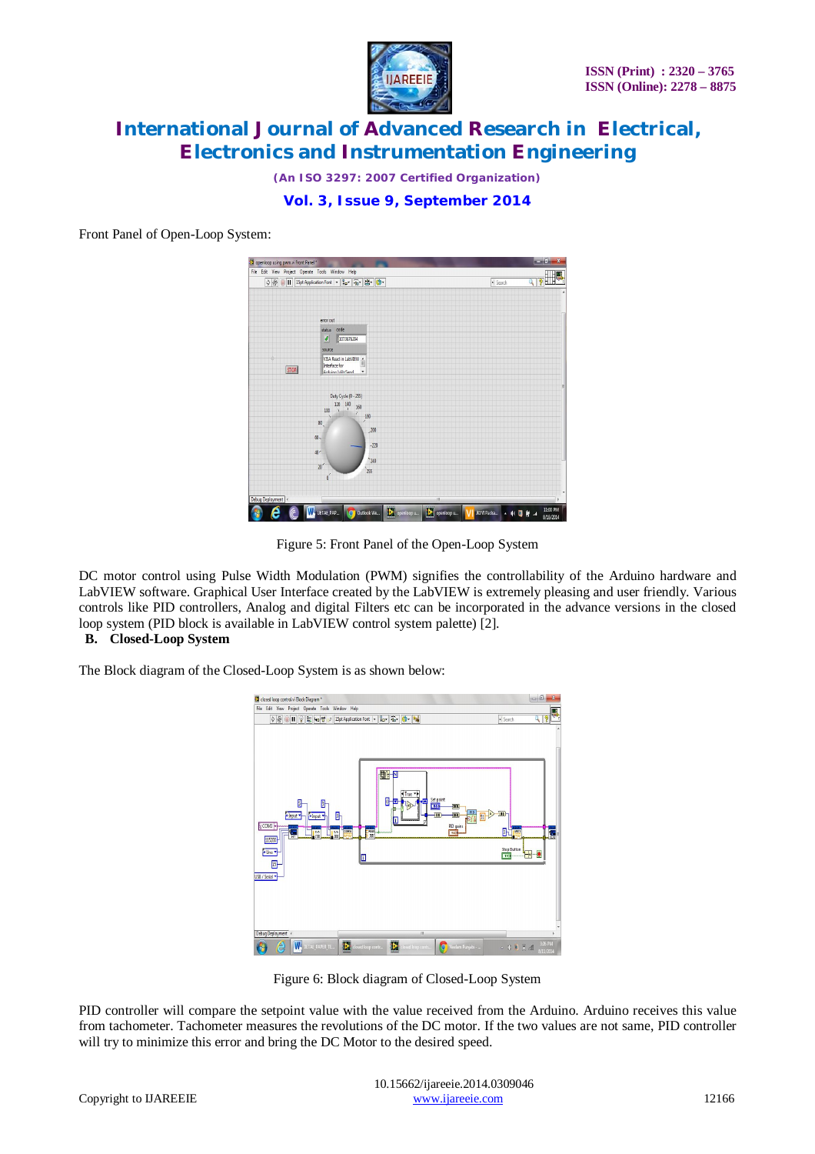

*(An ISO 3297: 2007 Certified Organization)*

**Vol. 3, Issue 9, September 2014**

Front Panel of Open-Loop System:

| File Edit View Project Operate Tools Window Help              |                                                 |          |
|---------------------------------------------------------------|-------------------------------------------------|----------|
| ◇图 ■ II 15pt Application Font ▼ 品 面 盘                         | · Search                                        | 70<br>Q  |
|                                                               |                                                 |          |
|                                                               |                                                 |          |
| error out                                                     |                                                 |          |
| status code                                                   |                                                 |          |
| $\mathcal{I}$<br>1073676294                                   |                                                 |          |
| source                                                        |                                                 |          |
| VISA Read in LabVIEW                                          |                                                 |          |
| Interface for                                                 |                                                 |          |
| <b>STOP</b><br>Archinn Milly Send<br>$\overline{\phantom{a}}$ |                                                 |          |
|                                                               |                                                 |          |
| Duty Cycle (0 - 255)                                          |                                                 |          |
| 120 140<br>160                                                |                                                 |          |
| 100<br>7<br>180                                               |                                                 |          |
| 7<br>80 <sub>1</sub>                                          |                                                 |          |
| ,200                                                          |                                                 |          |
| $60 -$                                                        |                                                 |          |
| $-220$<br>$40 -$                                              |                                                 |          |
| $^{\sim}$ 240                                                 |                                                 |          |
| 20 <sup>2</sup><br>255                                        |                                                 |          |
| 0                                                             |                                                 |          |
|                                                               |                                                 |          |
| Debug Deployment                                              | m                                               |          |
| $\sum$ openloop u<br><b>W.</b> DETAE_PAP                      | $\left  \sum_{n=1}^{\infty} \right $ openloop u | 11:00 PM |

Figure 5: Front Panel of the Open-Loop System

DC motor control using Pulse Width Modulation (PWM) signifies the controllability of the Arduino hardware and LabVIEW software. Graphical User Interface created by the LabVIEW is extremely pleasing and user friendly. Various controls like PID controllers, Analog and digital Filters etc can be incorporated in the advance versions in the closed loop system (PID block is available in LabVIEW control system palette) [2].

### **B. Closed-Loop System**

The Block diagram of the Closed-Loop System is as shown below:



Figure 6: Block diagram of Closed-Loop System

PID controller will compare the setpoint value with the value received from the Arduino. Arduino receives this value from tachometer. Tachometer measures the revolutions of the DC motor. If the two values are not same, PID controller will try to minimize this error and bring the DC Motor to the desired speed.